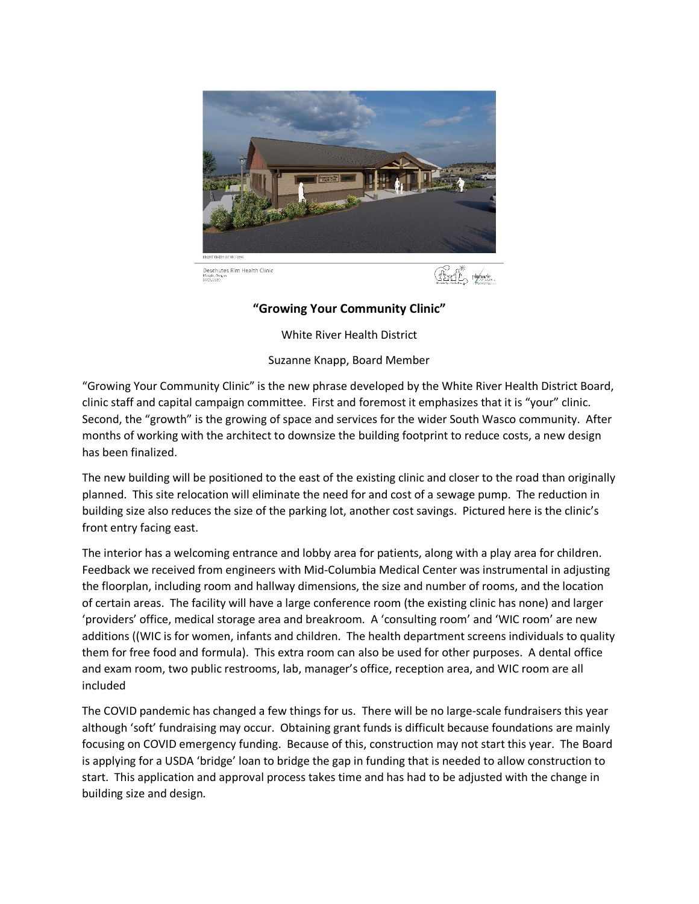

## **"Growing Your Community Clinic"**

White River Health District

Suzanne Knapp, Board Member

"Growing Your Community Clinic" is the new phrase developed by the White River Health District Board, clinic staff and capital campaign committee. First and foremost it emphasizes that it is "your" clinic. Second, the "growth" is the growing of space and services for the wider South Wasco community. After months of working with the architect to downsize the building footprint to reduce costs, a new design has been finalized.

The new building will be positioned to the east of the existing clinic and closer to the road than originally planned. This site relocation will eliminate the need for and cost of a sewage pump. The reduction in building size also reduces the size of the parking lot, another cost savings. Pictured here is the clinic's front entry facing east.

The interior has a welcoming entrance and lobby area for patients, along with a play area for children. Feedback we received from engineers with Mid-Columbia Medical Center was instrumental in adjusting the floorplan, including room and hallway dimensions, the size and number of rooms, and the location of certain areas. The facility will have a large conference room (the existing clinic has none) and larger 'providers' office, medical storage area and breakroom. A 'consulting room' and 'WIC room' are new additions ((WIC is for women, infants and children. The health department screens individuals to quality them for free food and formula). This extra room can also be used for other purposes. A dental office and exam room, two public restrooms, lab, manager's office, reception area, and WIC room are all included

The COVID pandemic has changed a few things for us. There will be no large-scale fundraisers this year although 'soft' fundraising may occur. Obtaining grant funds is difficult because foundations are mainly focusing on COVID emergency funding. Because of this, construction may not start this year. The Board is applying for a USDA 'bridge' loan to bridge the gap in funding that is needed to allow construction to start. This application and approval process takes time and has had to be adjusted with the change in building size and design.